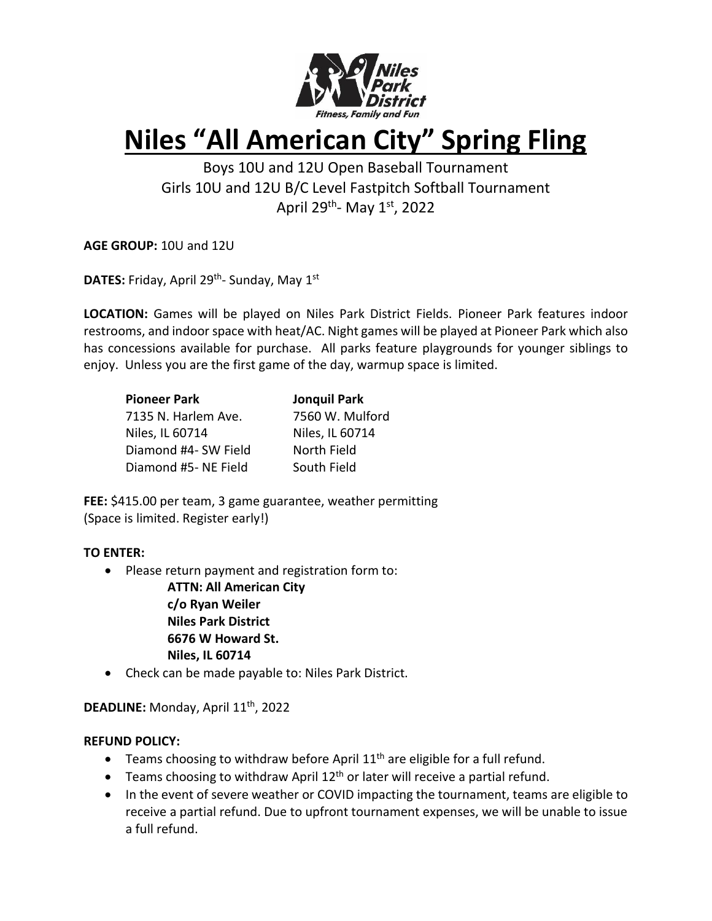

# **Niles "All American City" Spring Fling**

Boys 10U and 12U Open Baseball Tournament Girls 10U and 12U B/C Level Fastpitch Softball Tournament April 29<sup>th</sup>- May 1<sup>st</sup>, 2022

**AGE GROUP:** 10U and 12U

**DATES:** Friday, April 29<sup>th</sup>- Sunday, May 1<sup>st</sup>

**LOCATION:** Games will be played on Niles Park District Fields. Pioneer Park features indoor restrooms, and indoor space with heat/AC. Night games will be played at Pioneer Park which also has concessions available for purchase. All parks feature playgrounds for younger siblings to enjoy. Unless you are the first game of the day, warmup space is limited.

| <b>Pioneer Park</b>  | <b>Jonquil Park</b> |
|----------------------|---------------------|
| 7135 N. Harlem Ave.  | 7560 W. Mulford     |
| Niles, IL 60714      | Niles, IL 60714     |
| Diamond #4- SW Field | North Field         |
| Diamond #5- NE Field | South Field         |

**FEE:** \$415.00 per team, 3 game guarantee, weather permitting (Space is limited. Register early!)

## **TO ENTER:**

• Please return payment and registration form to:

**ATTN: All American City c/o Ryan Weiler Niles Park District 6676 W Howard St. Niles, IL 60714**

• Check can be made payable to: Niles Park District.

**DEADLINE:** Monday, April 11th, 2022

## **REFUND POLICY:**

- Teams choosing to withdraw before April  $11<sup>th</sup>$  are eligible for a full refund.
- Teams choosing to withdraw April  $12<sup>th</sup>$  or later will receive a partial refund.
- In the event of severe weather or COVID impacting the tournament, teams are eligible to receive a partial refund. Due to upfront tournament expenses, we will be unable to issue a full refund.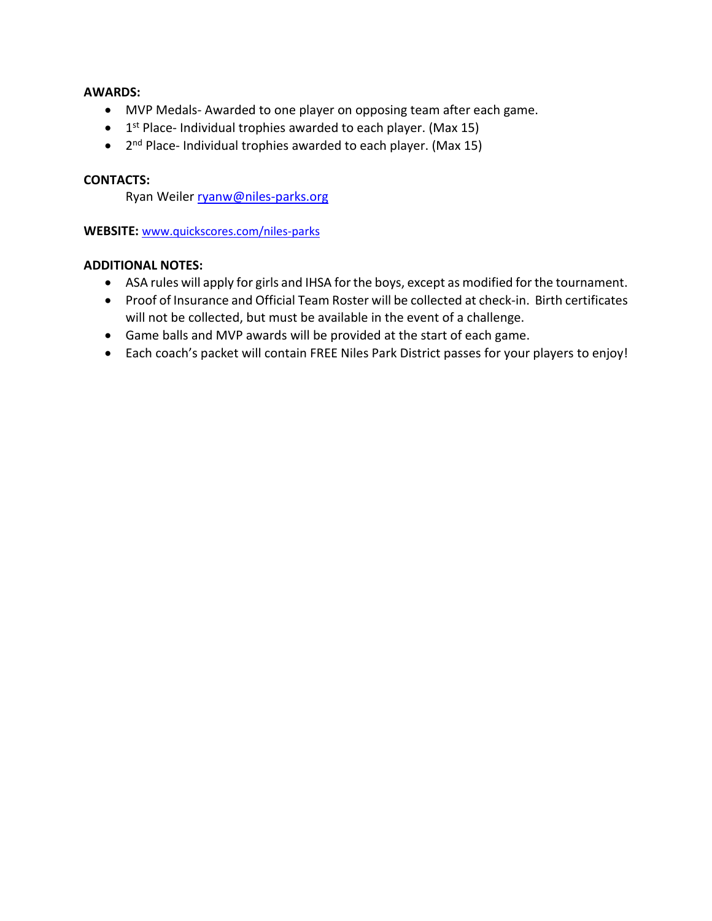#### **AWARDS:**

- MVP Medals- Awarded to one player on opposing team after each game.
- $\bullet$  1<sup>st</sup> Place- Individual trophies awarded to each player. (Max 15)
- 2<sup>nd</sup> Place- Individual trophies awarded to each player. (Max 15)

#### **CONTACTS:**

Ryan Weile[r ryanw@niles-parks.org](mailto:ryanw@niles-parks.org)

**WEBSITE:** [www.quickscores.com/niles-parks](http://www.quickscores.com/niles-parks)

#### **ADDITIONAL NOTES:**

- ASA rules will apply for girls and IHSA for the boys, except as modified for the tournament.
- Proof of Insurance and Official Team Roster will be collected at check-in. Birth certificates will not be collected, but must be available in the event of a challenge.
- Game balls and MVP awards will be provided at the start of each game.
- Each coach's packet will contain FREE Niles Park District passes for your players to enjoy!